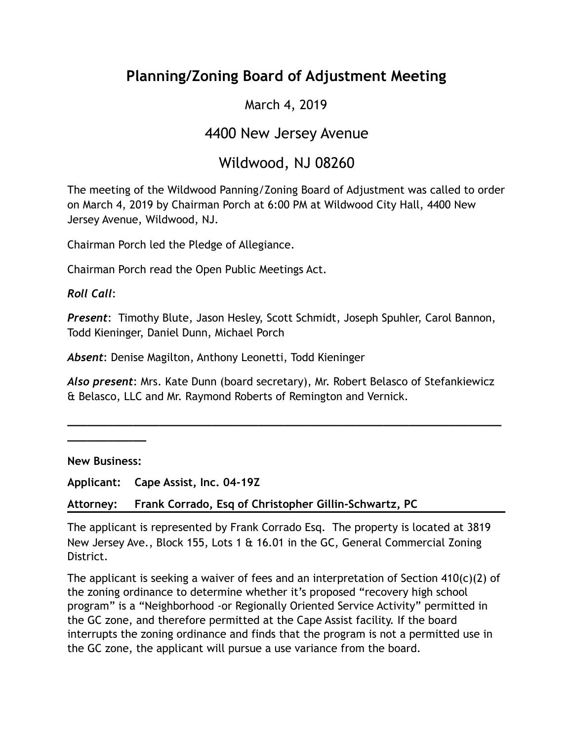# **Planning/Zoning Board of Adjustment Meeting**

## March 4, 2019

## 4400 New Jersey Avenue

# Wildwood, NJ 08260

The meeting of the Wildwood Panning/Zoning Board of Adjustment was called to order on March 4, 2019 by Chairman Porch at 6:00 PM at Wildwood City Hall, 4400 New Jersey Avenue, Wildwood, NJ.

Chairman Porch led the Pledge of Allegiance.

Chairman Porch read the Open Public Meetings Act.

*Roll Call*:

*Present*: Timothy Blute, Jason Hesley, Scott Schmidt, Joseph Spuhler, Carol Bannon, Todd Kieninger, Daniel Dunn, Michael Porch

*Absent*: Denise Magilton, Anthony Leonetti, Todd Kieninger

*Also present*: Mrs. Kate Dunn (board secretary), Mr. Robert Belasco of Stefankiewicz & Belasco, LLC and Mr. Raymond Roberts of Remington and Vernick.

**\_\_\_\_\_\_\_\_\_\_\_\_\_\_\_\_\_\_\_\_\_\_\_\_\_\_\_\_\_\_\_\_\_\_\_\_\_\_\_\_\_\_\_\_\_\_\_\_\_\_\_\_\_\_\_\_\_\_\_\_\_\_\_\_\_\_**

**New Business:** 

**\_\_\_\_\_\_\_\_\_\_\_\_** 

**Applicant: Cape Assist, Inc. 04-19Z** 

**Attorney: Frank Corrado, Esq of Christopher Gillin-Schwartz, PC** 

The applicant is represented by Frank Corrado Esq. The property is located at 3819 New Jersey Ave., Block 155, Lots 1 & 16.01 in the GC, General Commercial Zoning District.

The applicant is seeking a waiver of fees and an interpretation of Section 410(c)(2) of the zoning ordinance to determine whether it's proposed "recovery high school program" is a "Neighborhood -or Regionally Oriented Service Activity" permitted in the GC zone, and therefore permitted at the Cape Assist facility. If the board interrupts the zoning ordinance and finds that the program is not a permitted use in the GC zone, the applicant will pursue a use variance from the board.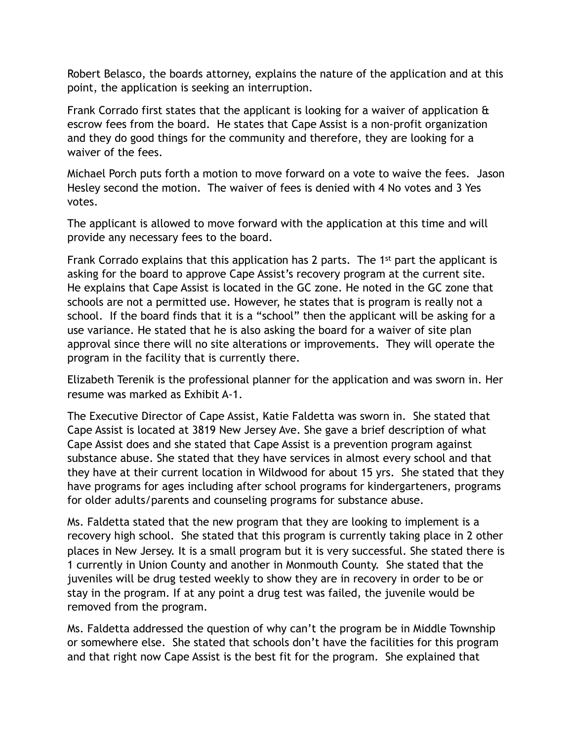Robert Belasco, the boards attorney, explains the nature of the application and at this point, the application is seeking an interruption.

Frank Corrado first states that the applicant is looking for a waiver of application & escrow fees from the board. He states that Cape Assist is a non-profit organization and they do good things for the community and therefore, they are looking for a waiver of the fees.

Michael Porch puts forth a motion to move forward on a vote to waive the fees. Jason Hesley second the motion. The waiver of fees is denied with 4 No votes and 3 Yes votes.

The applicant is allowed to move forward with the application at this time and will provide any necessary fees to the board.

Frank Corrado explains that this application has 2 parts. The 1st part the applicant is asking for the board to approve Cape Assist's recovery program at the current site. He explains that Cape Assist is located in the GC zone. He noted in the GC zone that schools are not a permitted use. However, he states that is program is really not a school. If the board finds that it is a "school" then the applicant will be asking for a use variance. He stated that he is also asking the board for a waiver of site plan approval since there will no site alterations or improvements. They will operate the program in the facility that is currently there.

Elizabeth Terenik is the professional planner for the application and was sworn in. Her resume was marked as Exhibit A-1.

The Executive Director of Cape Assist, Katie Faldetta was sworn in. She stated that Cape Assist is located at 3819 New Jersey Ave. She gave a brief description of what Cape Assist does and she stated that Cape Assist is a prevention program against substance abuse. She stated that they have services in almost every school and that they have at their current location in Wildwood for about 15 yrs. She stated that they have programs for ages including after school programs for kindergarteners, programs for older adults/parents and counseling programs for substance abuse.

Ms. Faldetta stated that the new program that they are looking to implement is a recovery high school. She stated that this program is currently taking place in 2 other places in New Jersey. It is a small program but it is very successful. She stated there is 1 currently in Union County and another in Monmouth County. She stated that the juveniles will be drug tested weekly to show they are in recovery in order to be or stay in the program. If at any point a drug test was failed, the juvenile would be removed from the program.

Ms. Faldetta addressed the question of why can't the program be in Middle Township or somewhere else. She stated that schools don't have the facilities for this program and that right now Cape Assist is the best fit for the program. She explained that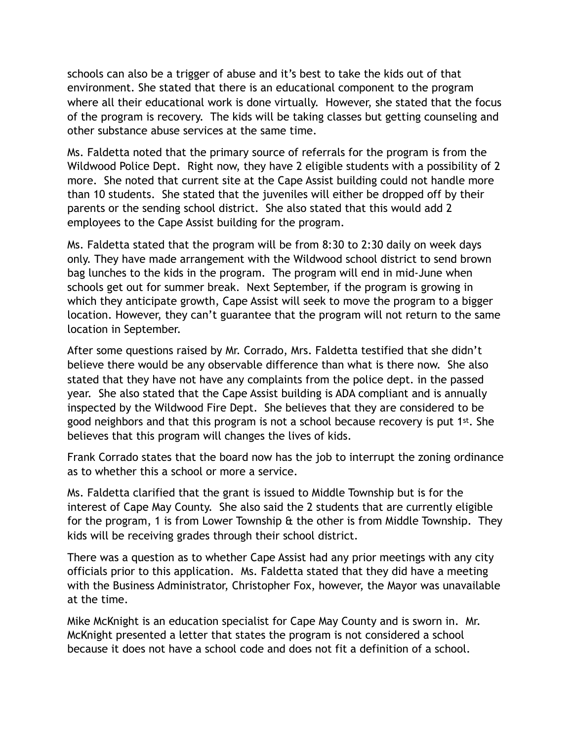schools can also be a trigger of abuse and it's best to take the kids out of that environment. She stated that there is an educational component to the program where all their educational work is done virtually. However, she stated that the focus of the program is recovery. The kids will be taking classes but getting counseling and other substance abuse services at the same time.

Ms. Faldetta noted that the primary source of referrals for the program is from the Wildwood Police Dept. Right now, they have 2 eligible students with a possibility of 2 more. She noted that current site at the Cape Assist building could not handle more than 10 students. She stated that the juveniles will either be dropped off by their parents or the sending school district. She also stated that this would add 2 employees to the Cape Assist building for the program.

Ms. Faldetta stated that the program will be from 8:30 to 2:30 daily on week days only. They have made arrangement with the Wildwood school district to send brown bag lunches to the kids in the program. The program will end in mid-June when schools get out for summer break. Next September, if the program is growing in which they anticipate growth, Cape Assist will seek to move the program to a bigger location. However, they can't guarantee that the program will not return to the same location in September.

After some questions raised by Mr. Corrado, Mrs. Faldetta testified that she didn't believe there would be any observable difference than what is there now. She also stated that they have not have any complaints from the police dept. in the passed year. She also stated that the Cape Assist building is ADA compliant and is annually inspected by the Wildwood Fire Dept. She believes that they are considered to be good neighbors and that this program is not a school because recovery is put 1st. She believes that this program will changes the lives of kids.

Frank Corrado states that the board now has the job to interrupt the zoning ordinance as to whether this a school or more a service.

Ms. Faldetta clarified that the grant is issued to Middle Township but is for the interest of Cape May County. She also said the 2 students that are currently eligible for the program, 1 is from Lower Township  $\theta$  the other is from Middle Township. They kids will be receiving grades through their school district.

There was a question as to whether Cape Assist had any prior meetings with any city officials prior to this application. Ms. Faldetta stated that they did have a meeting with the Business Administrator, Christopher Fox, however, the Mayor was unavailable at the time.

Mike McKnight is an education specialist for Cape May County and is sworn in. Mr. McKnight presented a letter that states the program is not considered a school because it does not have a school code and does not fit a definition of a school.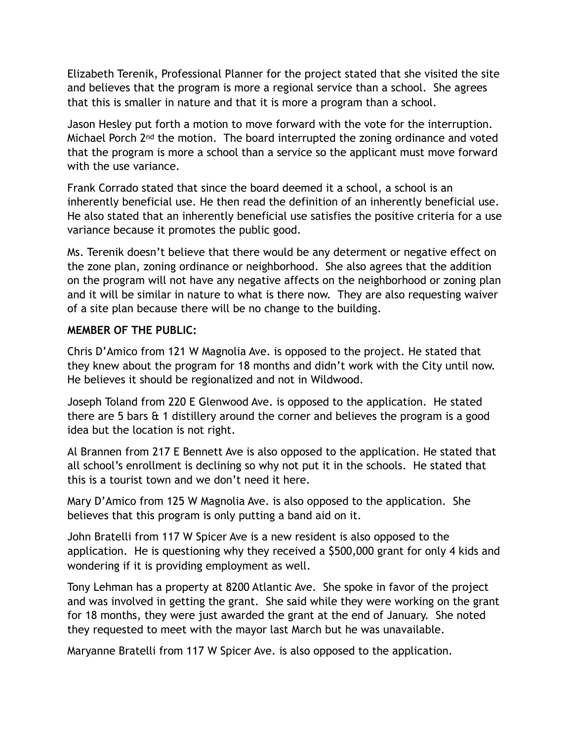Elizabeth Terenik, Professional Planner for the project stated that she visited the site and believes that the program is more a regional service than a school. She agrees that this is smaller in nature and that it is more a program than a school.

Jason Hesley put forth a motion to move forward with the vote for the interruption. Michael Porch 2<sup>nd</sup> the motion. The board interrupted the zoning ordinance and voted that the program is more a school than a service so the applicant must move forward with the use variance.

Frank Corrado stated that since the board deemed it a school, a school is an inherently beneficial use. He then read the definition of an inherently beneficial use. He also stated that an inherently beneficial use satisfies the positive criteria for a use variance because it promotes the public good.

Ms. Terenik doesn't believe that there would be any determent or negative effect on the zone plan, zoning ordinance or neighborhood. She also agrees that the addition on the program will not have any negative affects on the neighborhood or zoning plan and it will be similar in nature to what is there now. They are also requesting waiver of a site plan because there will be no change to the building.

### **MEMBER OF THE PUBLIC:**

Chris D'Amico from 121 W Magnolia Ave. is opposed to the project. He stated that they knew about the program for 18 months and didn't work with the City until now. He believes it should be regionalized and not in Wildwood.

Joseph Toland from 220 E Glenwood Ave. is opposed to the application. He stated there are 5 bars & 1 distillery around the corner and believes the program is a good idea but the location is not right.

Al Brannen from 217 E Bennett Ave is also opposed to the application. He stated that all school's enrollment is declining so why not put it in the schools. He stated that this is a tourist town and we don't need it here.

Mary D'Amico from 125 W Magnolia Ave. is also opposed to the application. She believes that this program is only putting a band aid on it.

John Bratelli from 117 W Spicer Ave is a new resident is also opposed to the application. He is questioning why they received a \$500,000 grant for only 4 kids and wondering if it is providing employment as well.

Tony Lehman has a property at 8200 Atlantic Ave. She spoke in favor of the project and was involved in getting the grant. She said while they were working on the grant for 18 months, they were just awarded the grant at the end of January. She noted they requested to meet with the mayor last March but he was unavailable.

Maryanne Bratelli from 117 W Spicer Ave. is also opposed to the application.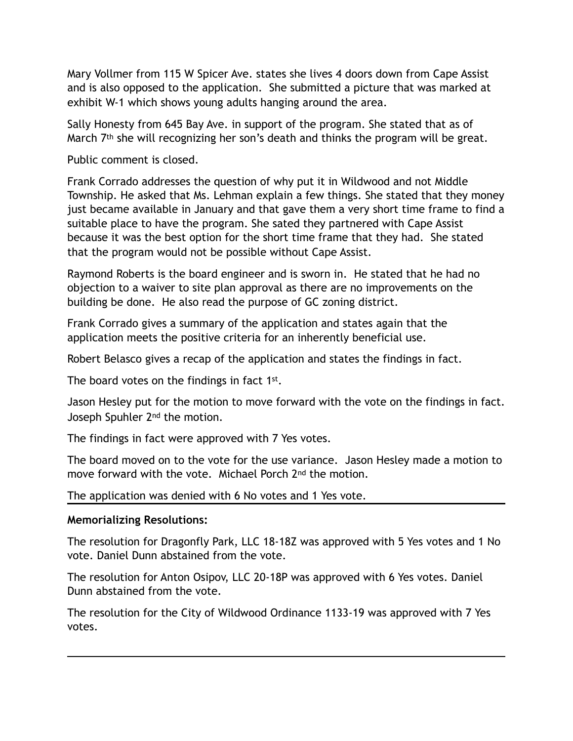Mary Vollmer from 115 W Spicer Ave. states she lives 4 doors down from Cape Assist and is also opposed to the application. She submitted a picture that was marked at exhibit W-1 which shows young adults hanging around the area.

Sally Honesty from 645 Bay Ave. in support of the program. She stated that as of March 7<sup>th</sup> she will recognizing her son's death and thinks the program will be great.

Public comment is closed.

Frank Corrado addresses the question of why put it in Wildwood and not Middle Township. He asked that Ms. Lehman explain a few things. She stated that they money just became available in January and that gave them a very short time frame to find a suitable place to have the program. She sated they partnered with Cape Assist because it was the best option for the short time frame that they had. She stated that the program would not be possible without Cape Assist.

Raymond Roberts is the board engineer and is sworn in. He stated that he had no objection to a waiver to site plan approval as there are no improvements on the building be done. He also read the purpose of GC zoning district.

Frank Corrado gives a summary of the application and states again that the application meets the positive criteria for an inherently beneficial use.

Robert Belasco gives a recap of the application and states the findings in fact.

The board votes on the findings in fact 1<sup>st</sup>.

Jason Hesley put for the motion to move forward with the vote on the findings in fact. Joseph Spuhler 2nd the motion.

The findings in fact were approved with 7 Yes votes.

The board moved on to the vote for the use variance. Jason Hesley made a motion to move forward with the vote. Michael Porch 2nd the motion.

The application was denied with 6 No votes and 1 Yes vote.

#### **Memorializing Resolutions:**

The resolution for Dragonfly Park, LLC 18-18Z was approved with 5 Yes votes and 1 No vote. Daniel Dunn abstained from the vote.

The resolution for Anton Osipov, LLC 20-18P was approved with 6 Yes votes. Daniel Dunn abstained from the vote.

The resolution for the City of Wildwood Ordinance 1133-19 was approved with 7 Yes votes.